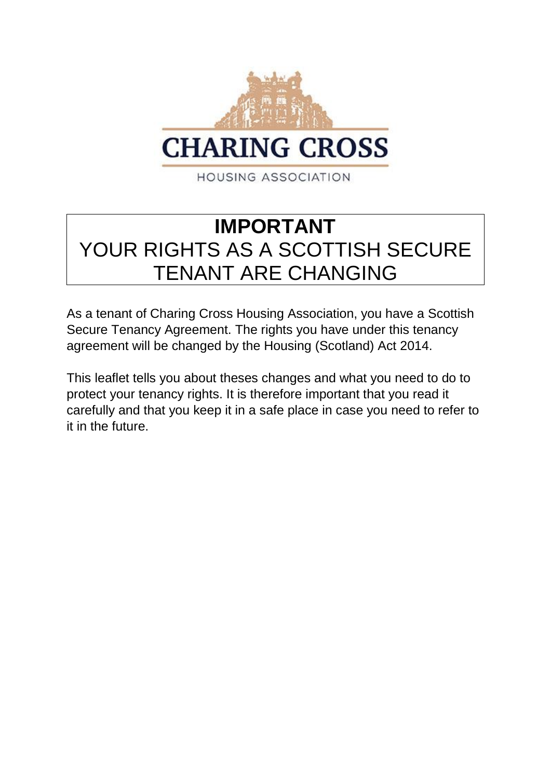

# **IMPORTANT** YOUR RIGHTS AS A SCOTTISH SECURE TENANT ARE CHANGING

As a tenant of Charing Cross Housing Association, you have a Scottish Secure Tenancy Agreement. The rights you have under this tenancy agreement will be changed by the Housing (Scotland) Act 2014.

This leaflet tells you about theses changes and what you need to do to protect your tenancy rights. It is therefore important that you read it carefully and that you keep it in a safe place in case you need to refer to it in the future.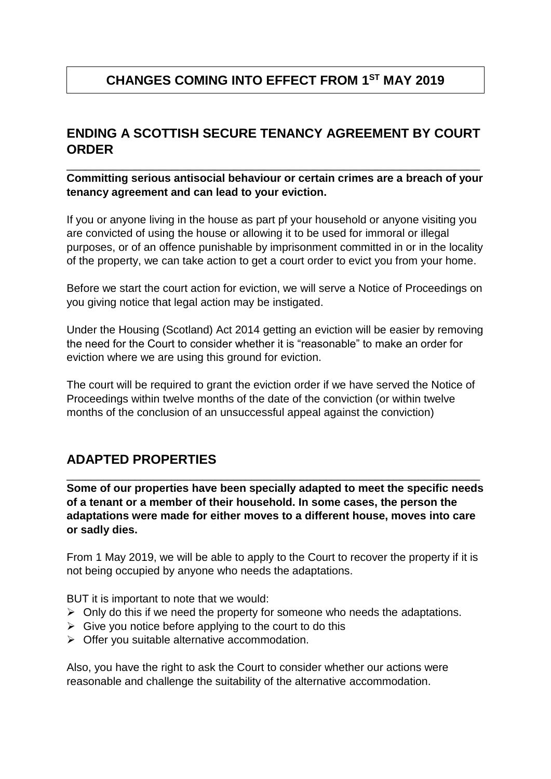## **CHANGES COMING INTO EFFECT FROM 1ST MAY 2019**

#### **ENDING A SCOTTISH SECURE TENANCY AGREEMENT BY COURT ORDER**

**Committing serious antisocial behaviour or certain crimes are a breach of your tenancy agreement and can lead to your eviction.**

\_\_\_\_\_\_\_\_\_\_\_\_\_\_\_\_\_\_\_\_\_\_\_\_\_\_\_\_\_\_\_\_\_\_\_\_\_\_\_\_\_\_\_\_\_\_\_\_\_\_\_\_\_\_\_\_\_\_\_\_\_\_\_\_\_\_\_

If you or anyone living in the house as part pf your household or anyone visiting you are convicted of using the house or allowing it to be used for immoral or illegal purposes, or of an offence punishable by imprisonment committed in or in the locality of the property, we can take action to get a court order to evict you from your home.

Before we start the court action for eviction, we will serve a Notice of Proceedings on you giving notice that legal action may be instigated.

Under the Housing (Scotland) Act 2014 getting an eviction will be easier by removing the need for the Court to consider whether it is "reasonable" to make an order for eviction where we are using this ground for eviction.

The court will be required to grant the eviction order if we have served the Notice of Proceedings within twelve months of the date of the conviction (or within twelve months of the conclusion of an unsuccessful appeal against the conviction)

#### **ADAPTED PROPERTIES**

**Some of our properties have been specially adapted to meet the specific needs of a tenant or a member of their household. In some cases, the person the adaptations were made for either moves to a different house, moves into care or sadly dies.**

\_\_\_\_\_\_\_\_\_\_\_\_\_\_\_\_\_\_\_\_\_\_\_\_\_\_\_\_\_\_\_\_\_\_\_\_\_\_\_\_\_\_\_\_\_\_\_\_\_\_\_\_\_\_\_\_\_\_\_\_\_\_\_\_\_\_\_

From 1 May 2019, we will be able to apply to the Court to recover the property if it is not being occupied by anyone who needs the adaptations.

BUT it is important to note that we would:

- $\triangleright$  Only do this if we need the property for someone who needs the adaptations.
- $\triangleright$  Give you notice before applying to the court to do this
- $\triangleright$  Offer you suitable alternative accommodation.

Also, you have the right to ask the Court to consider whether our actions were reasonable and challenge the suitability of the alternative accommodation.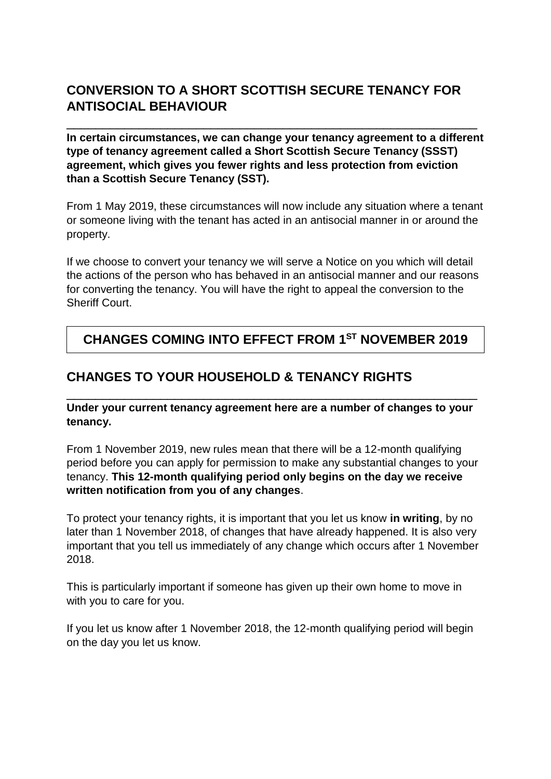## **CONVERSION TO A SHORT SCOTTISH SECURE TENANCY FOR ANTISOCIAL BEHAVIOUR**

**In certain circumstances, we can change your tenancy agreement to a different type of tenancy agreement called a Short Scottish Secure Tenancy (SSST) agreement, which gives you fewer rights and less protection from eviction than a Scottish Secure Tenancy (SST).**

\_\_\_\_\_\_\_\_\_\_\_\_\_\_\_\_\_\_\_\_\_\_\_\_\_\_\_\_\_\_\_\_\_\_\_\_\_\_\_\_\_\_\_\_\_\_\_\_\_\_\_\_\_\_\_\_\_

From 1 May 2019, these circumstances will now include any situation where a tenant or someone living with the tenant has acted in an antisocial manner in or around the property.

If we choose to convert your tenancy we will serve a Notice on you which will detail the actions of the person who has behaved in an antisocial manner and our reasons for converting the tenancy. You will have the right to appeal the conversion to the Sheriff Court.

#### **CHANGES COMING INTO EFFECT FROM 1ST NOVEMBER 2019**

#### **CHANGES TO YOUR HOUSEHOLD & TENANCY RIGHTS**

**Under your current tenancy agreement here are a number of changes to your tenancy.**

\_\_\_\_\_\_\_\_\_\_\_\_\_\_\_\_\_\_\_\_\_\_\_\_\_\_\_\_\_\_\_\_\_\_\_\_\_\_\_\_\_\_\_\_\_\_\_\_\_\_\_\_\_\_\_\_\_

From 1 November 2019, new rules mean that there will be a 12-month qualifying period before you can apply for permission to make any substantial changes to your tenancy. **This 12-month qualifying period only begins on the day we receive written notification from you of any changes**.

To protect your tenancy rights, it is important that you let us know **in writing**, by no later than 1 November 2018, of changes that have already happened. It is also very important that you tell us immediately of any change which occurs after 1 November 2018.

This is particularly important if someone has given up their own home to move in with you to care for you.

If you let us know after 1 November 2018, the 12-month qualifying period will begin on the day you let us know.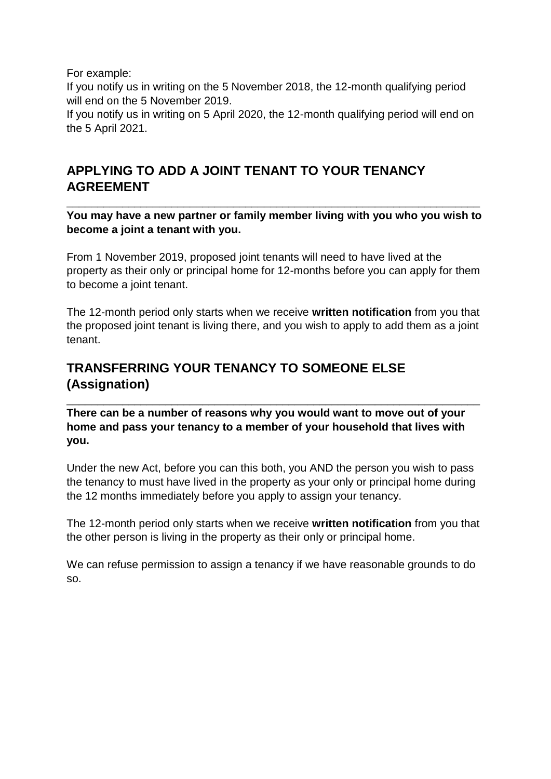For example:

If you notify us in writing on the 5 November 2018, the 12-month qualifying period will end on the 5 November 2019.

If you notify us in writing on 5 April 2020, the 12-month qualifying period will end on the 5 April 2021.

#### **APPLYING TO ADD A JOINT TENANT TO YOUR TENANCY AGREEMENT**

**You may have a new partner or family member living with you who you wish to become a joint a tenant with you.**

\_\_\_\_\_\_\_\_\_\_\_\_\_\_\_\_\_\_\_\_\_\_\_\_\_\_\_\_\_\_\_\_\_\_\_\_\_\_\_\_\_\_\_\_\_\_\_\_\_\_\_\_\_\_\_\_\_\_\_\_\_\_\_\_\_\_\_

From 1 November 2019, proposed joint tenants will need to have lived at the property as their only or principal home for 12-months before you can apply for them to become a joint tenant.

The 12-month period only starts when we receive **written notification** from you that the proposed joint tenant is living there, and you wish to apply to add them as a joint tenant.

## **TRANSFERRING YOUR TENANCY TO SOMEONE ELSE (Assignation)**

**There can be a number of reasons why you would want to move out of your home and pass your tenancy to a member of your household that lives with you.**

\_\_\_\_\_\_\_\_\_\_\_\_\_\_\_\_\_\_\_\_\_\_\_\_\_\_\_\_\_\_\_\_\_\_\_\_\_\_\_\_\_\_\_\_\_\_\_\_\_\_\_\_\_\_\_\_\_\_\_\_\_\_\_\_\_\_\_

Under the new Act, before you can this both, you AND the person you wish to pass the tenancy to must have lived in the property as your only or principal home during the 12 months immediately before you apply to assign your tenancy.

The 12-month period only starts when we receive **written notification** from you that the other person is living in the property as their only or principal home.

We can refuse permission to assign a tenancy if we have reasonable grounds to do so.